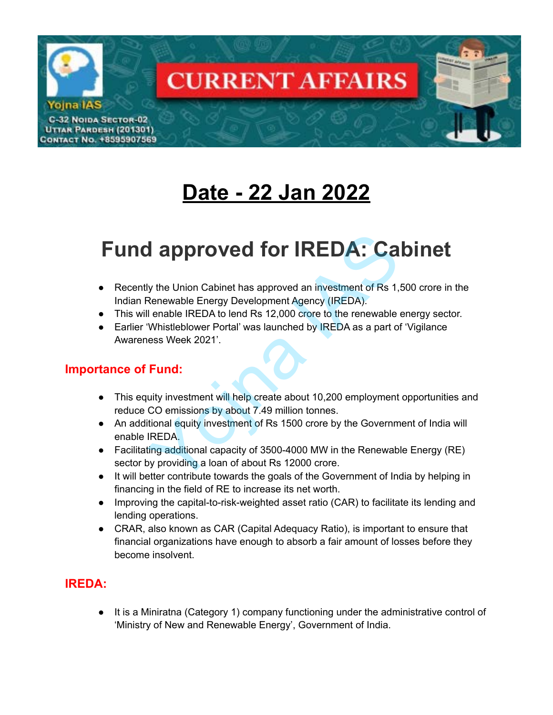

# **Date - 22 Jan 2022**

# **Fund approved for IREDA: Cabinet Solution Community and Solution Control Control Control Control Control Control Control Control Control Control Control Control Control Control Control Control Control Control Control Control Control Control Control Contr**

- Recently the Union Cabinet has approved an investment of Rs 1,500 crore in the Indian Renewable Energy Development Agency (IREDA).
- This will enable IREDA to lend Rs 12,000 crore to the renewable energy sector.
- Earlier 'Whistleblower Portal' was launched by IREDA as a part of 'Vigilance Awareness Week 2021'.

#### **Importance of Fund:**

- This equity investment will help create about 10,200 employment opportunities and reduce CO emissions by about 7.49 million tonnes.
- An additional equity investment of Rs 1500 crore by the Government of India will enable IREDA.
- Facilitating additional capacity of 3500-4000 MW in the Renewable Energy (RE) sector by providing a loan of about Rs 12000 crore.
- It will better contribute towards the goals of the Government of India by helping in financing in the field of RE to increase its net worth.
- Improving the capital-to-risk-weighted asset ratio (CAR) to facilitate its lending and lending operations.
- CRAR, also known as CAR (Capital Adequacy Ratio), is important to ensure that financial organizations have enough to absorb a fair amount of losses before they become insolvent.

### **IREDA:**

● It is a Miniratna (Category 1) company functioning under the administrative control of 'Ministry of New and Renewable Energy', Government of India.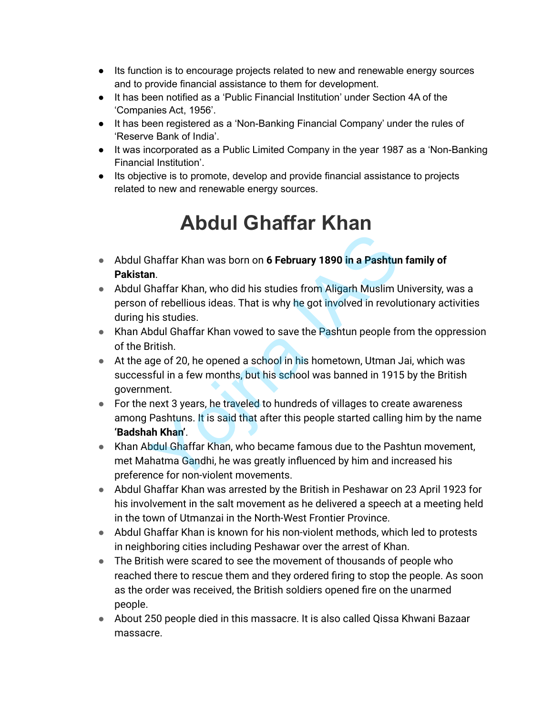- Its function is to encourage projects related to new and renewable energy sources and to provide financial assistance to them for development.
- It has been notified as a 'Public Financial Institution' under Section 4A of the 'Companies Act, 1956'.
- It has been registered as a 'Non-Banking Financial Company' under the rules of 'Reserve Bank of India'.
- It was incorporated as a Public Limited Company in the year 1987 as a 'Non-Banking Financial Institution'.
- Its objective is to promote, develop and provide financial assistance to projects related to new and renewable energy sources.

## **Abdul Ghaffar Khan**

- Abdul Ghaffar Khan was born on **6 February 1890 in a Pashtun family of Pakistan**.
- Abdul Ghaffar Khan, who did his studies from Aligarh Muslim University, was a person of rebellious ideas. That is why he got involved in revolutionary activities during his studies.
- Khan Abdul Ghaffar Khan vowed to save the Pashtun people from the oppression of the British.
- At the age of 20, he opened a school in his hometown, Utman Jai, which was successful in a few months, but his school was banned in 1915 by the British government.
- For the next 3 years, he traveled to hundreds of villages to create awareness among Pashtuns. It is said that after this people started calling him by the name **'Badshah Khan'**. Shaffar Khan was born on 6 February 1890 in a Pashtun<br>
In.<br>
Shaffar Khan, who did his studies from Aligarh Muslim L<br>
of rebellious ideas. That is why he got involved in revolu<br>
his studies.<br>
bdul Ghaffar Khan vowed to save
- Khan Abdul Ghaffar Khan, who became famous due to the Pashtun movement, met Mahatma Gandhi, he was greatly influenced by him and increased his preference for non-violent movements.
- Abdul Ghaffar Khan was arrested by the British in Peshawar on 23 April 1923 for his involvement in the salt movement as he delivered a speech at a meeting held in the town of Utmanzai in the North-West Frontier Province.
- Abdul Ghaffar Khan is known for his non-violent methods, which led to protests in neighboring cities including Peshawar over the arrest of Khan.
- The British were scared to see the movement of thousands of people who reached there to rescue them and they ordered firing to stop the people. As soon as the order was received, the British soldiers opened fire on the unarmed people.
- About 250 people died in this massacre. It is also called Qissa Khwani Bazaar massacre.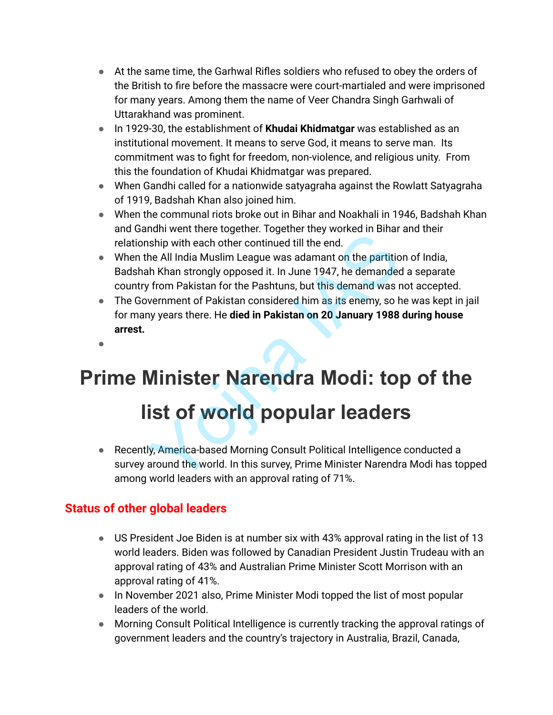- At the same time, the Garhwal Rifles soldiers who refused to obey the orders of the British to fire before the massacre were court-martialed and were imprisoned for many years. Among them the name of Veer Chandra Singh Garhwali of Uttarakhand was prominent.
- In 1929-30, the establishment of **Khudai Khidmatgar** was established as an institutional movement. It means to serve God, it means to serve man. Its commitment was to fight for freedom, non-violence, and religious unity. From this the foundation of Khudai Khidmatgar was prepared.
- When Gandhi called for a nationwide satyagraha against the Rowlatt Satyagraha of 1919, Badshah Khan also joined him.
- When the communal riots broke out in Bihar and Noakhali in 1946, Badshah Khan and Gandhi went there together. Together they worked in Bihar and their relationship with each other continued till the end.
- When the All India Muslim League was adamant on the partition of India, Badshah Khan strongly opposed it. In June 1947, he demanded a separate country from Pakistan for the Pashtuns, but this demand was not accepted. Minim went there together. Together they worked in Binary<br>Ship with each other continued till the end.<br>The All India Muslim League was adamant on the partition<br>In Khan strongly opposed it. In June 1947, he demanded<br>from Pa
- The Government of Pakistan considered him as its enemy, so he was kept in jail for many years there. He **died in Pakistan on 20 January 1988 during house arrest.**
- ●

# **Prime Minister Narendra Modi: top of the**

## **list of world popular leaders**

● Recently, America-based Morning Consult Political Intelligence conducted a survey around the world. In this survey, Prime Minister Narendra Modi has topped among world leaders with an approval rating of 71%.

## **Status of other global leaders**

- US President Joe Biden is at number six with 43% approval rating in the list of 13 world leaders. Biden was followed by Canadian President Justin Trudeau with an approval rating of 43% and Australian Prime Minister Scott Morrison with an approval rating of 41%.
- In November 2021 also, Prime Minister Modi topped the list of most popular leaders of the world.
- Morning Consult Political Intelligence is currently tracking the approval ratings of government leaders and the country's trajectory in Australia, Brazil, Canada,